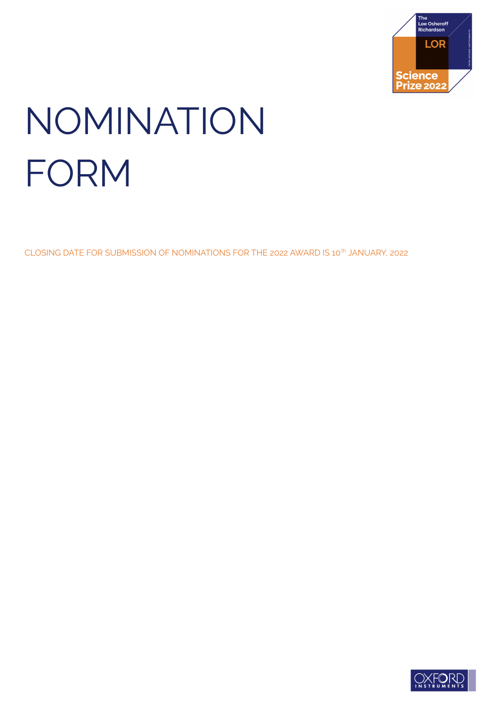

# NOMINATION FORM

CLOSING DATE FOR SUBMISSION OF NOMINATIONS FOR THE 2022 AWARD IS 10<sup>th</sup> JANUARY, 2022

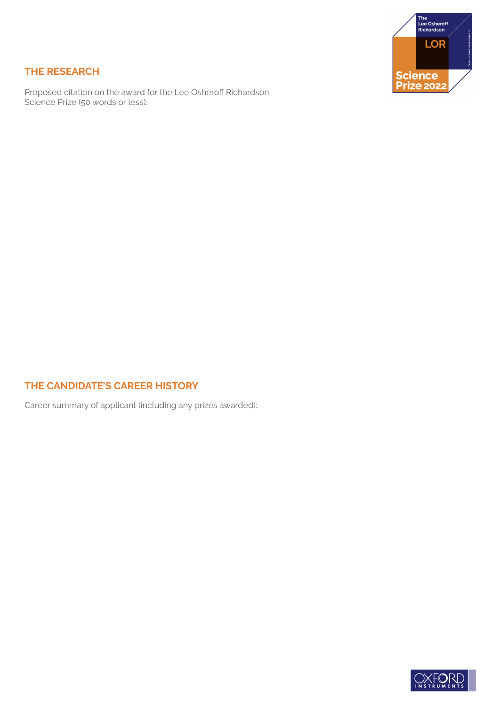

# **THE RESEARCH**

Proposed citation on the award for the Lee Osheroff Richardson Science Prize (50 words or less):

# **THE CANDIDATE'S CAREER HISTORY**

Career summary of applicant (including any prizes awarded):

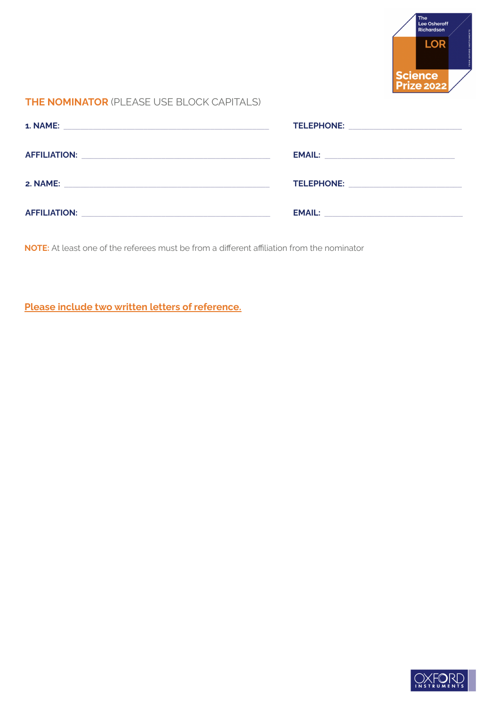

#### **THE NOMINATOR** (PLEASE USE BLOCK CAPITALS)

|                                                                                                                | TELEPHONE: ____________________________                                                             |
|----------------------------------------------------------------------------------------------------------------|-----------------------------------------------------------------------------------------------------|
|                                                                                                                |                                                                                                     |
| 2. NAME: A CONSTRUCTION OF THE CONSTRUCTION OF THE CONSTRUCTION OF THE CONSTRUCTION OF THE CONSTRUCTION OF THE | TELEPHONE: New York Party and Party and Party and Party and Party and Party and Party and Party and |
|                                                                                                                |                                                                                                     |

**NOTE:** At least one of the referees must be from a different affiliation from the nominator

**Please include two written letters of reference.**

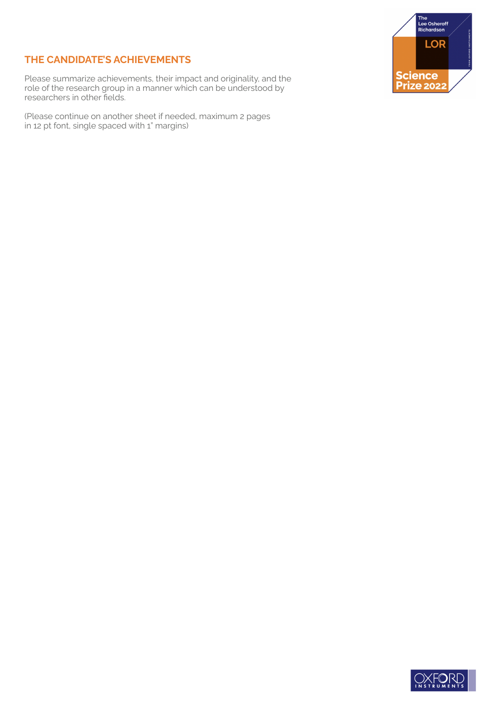# **THE CANDIDATE'S ACHIEVEMENTS**

Please summarize achievements, their impact and originality, and the role of the research group in a manner which can be understood by researchers in other fields.

(Please continue on another sheet if needed, maximum 2 pages in 12 pt font, single spaced with 1" margins)



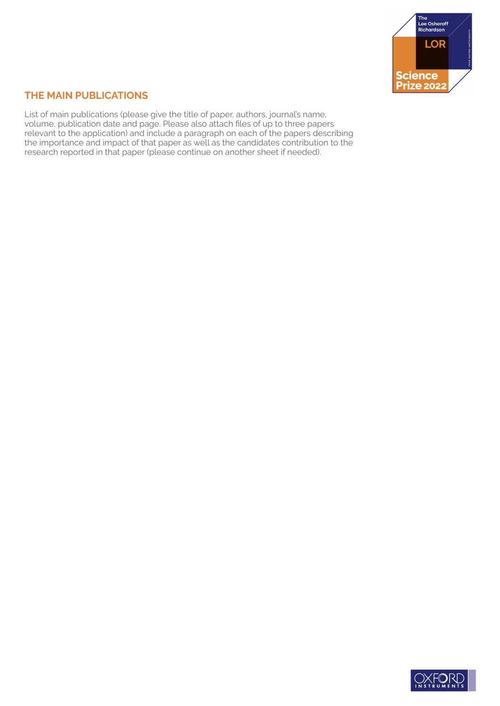

# **THE MAIN PUBLICATIONS**

List of main publications (please give the title of paper, authors, journal's name, volume, publication date and page. Please also attach files of up to three papers relevant to the application) and include a paragraph on each of the papers describing the importance and impact of that paper as well as the candidates contribution to the research reported in that paper (please continue on another sheet if needed).